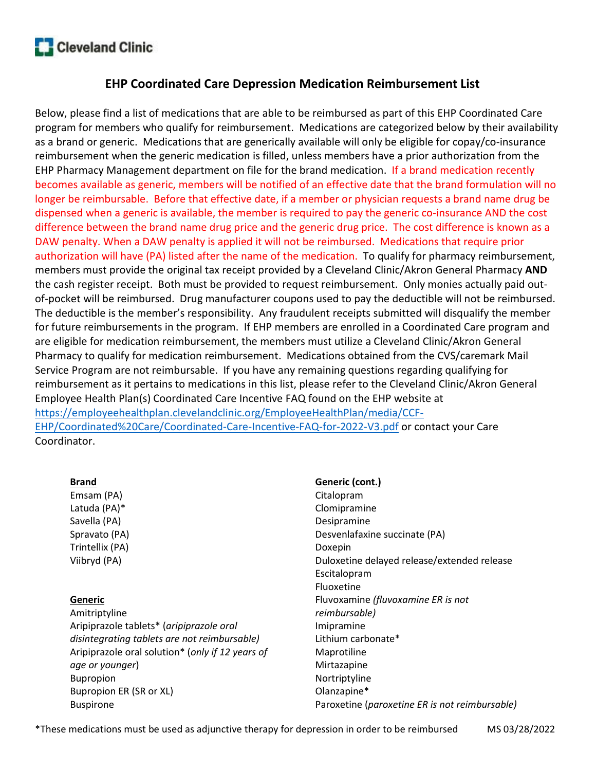

# EHP Coordinated Care Depression Medication Reimbursement List

Below, please find a list of medications that are able to be reimbursed as part of this EHP Coordinated Care program for members who qualify for reimbursement. Medications are categorized below by their availability as a brand or generic. Medications that are generically available will only be eligible for copay/co-insurance reimbursement when the generic medication is filled, unless members have a prior authorization from the EHP Pharmacy Management department on file for the brand medication. If a brand medication recently becomes available as generic, members will be notified of an effective date that the brand formulation will no longer be reimbursable. Before that effective date, if a member or physician requests a brand name drug be dispensed when a generic is available, the member is required to pay the generic co-insurance AND the cost difference between the brand name drug price and the generic drug price. The cost difference is known as a DAW penalty. When a DAW penalty is applied it will not be reimbursed. Medications that require prior authorization will have (PA) listed after the name of the medication. To qualify for pharmacy reimbursement, members must provide the original tax receipt provided by a Cleveland Clinic/Akron General Pharmacy **AND** the cash register receipt. Both must be provided to request reimbursement. Only monies actually paid outof-pocket will be reimbursed. Drug manufacturer coupons used to pay the deductible will not be reimbursed. The deductible is the member's responsibility. Any fraudulent receipts submitted will disqualify the member for future reimbursements in the program. If EHP members are enrolled in a Coordinated Care program and are eligible for medication reimbursement, the members must utilize a Cleveland Clinic/Akron General Pharmacy to qualify for medication reimbursement. Medications obtained from the CVS/caremark Mail Service Program are not reimbursable. If you have any remaining questions regarding qualifying for reimbursement as it pertains to medications in this list, please refer to the Cleveland Clinic/Akron General Employee Health Plan(s) Coordinated Care Incentive FAQ found on the EHP website at https://employeehealthplan.clevelandclinic.org/EmployeeHealthPlan/media/CCF-EHP/Coordinated%20Care/Coordinated-Care-Incentive-FAQ-for-2022-V3.pdf or contact your Care Coordinator.

#### Brand

Emsam (PA) Latuda (PA)\* Savella (PA) Spravato (PA) Trintellix (PA) Viibryd (PA)

### Generic

Amitriptyline Aripiprazole tablets\* (aripiprazole oral disintegrating tablets are not reimbursable) Aripiprazole oral solution\* (only if 12 years of age or younger) Bupropion Bupropion ER (SR or XL) Buspirone

### Generic (cont.)

Citalopram Clomipramine Desipramine Desvenlafaxine succinate (PA) Doxepin Duloxetine delayed release/extended release Escitalopram Fluoxetine Fluvoxamine (fluvoxamine ER is not reimbursable) Imipramine Lithium carbonate\* Maprotiline Mirtazapine Nortriptyline Olanzapine\* Paroxetine (paroxetine ER is not reimbursable)

\*These medications must be used as adjunctive therapy for depression in order to be reimbursed MS 03/28/2022